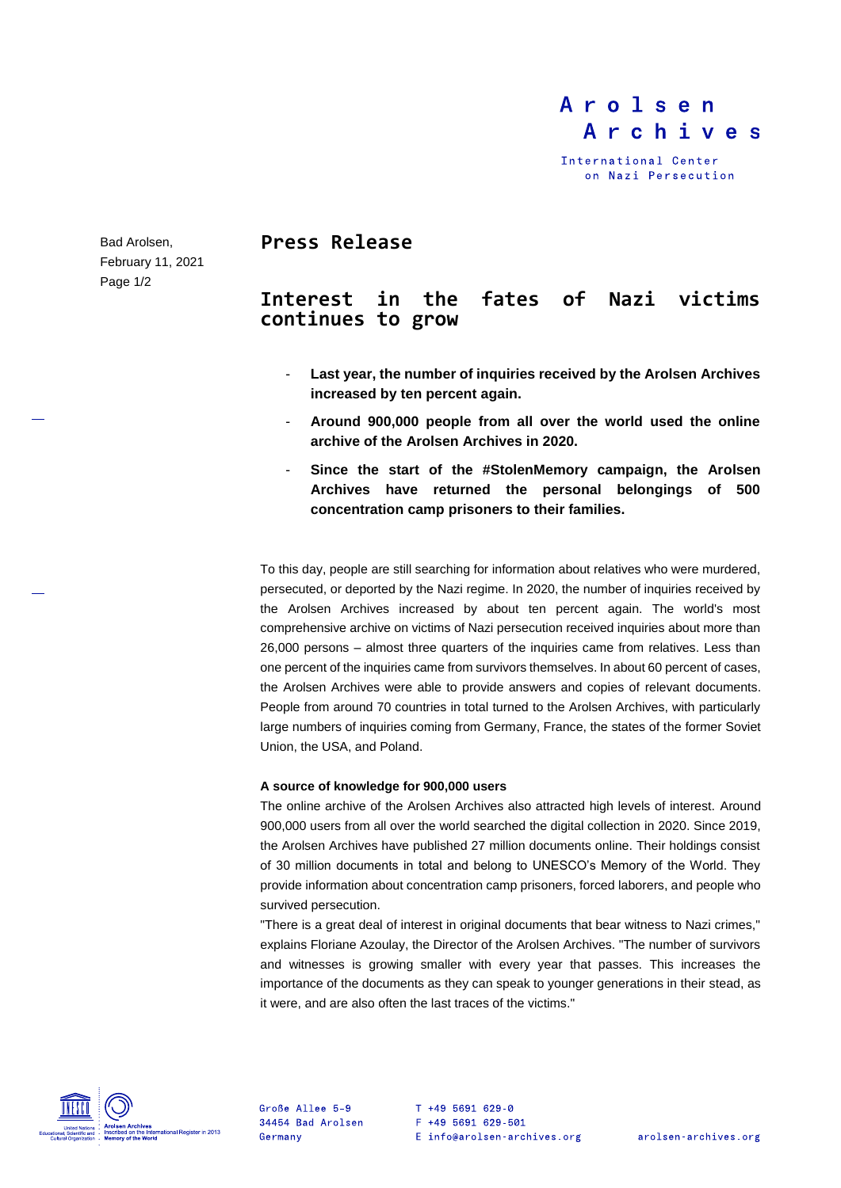# Arolsen Archives

International Center on Nazi Persecution

Bad Arolsen, February 11, 2021 Page 1/2

## **Press Release**

## **Interest in the fates of Nazi victims continues to grow**

- **Last year, the number of inquiries received by the Arolsen Archives increased by ten percent again.**
- **Around 900,000 people from all over the world used the online archive of the Arolsen Archives in 2020.**
- **Since the start of the #StolenMemory campaign, the Arolsen Archives have returned the personal belongings of 500 concentration camp prisoners to their families.**

To this day, people are still searching for information about relatives who were murdered, persecuted, or deported by the Nazi regime. In 2020, the number of inquiries received by the Arolsen Archives increased by about ten percent again. The world's most comprehensive archive on victims of Nazi persecution received inquiries about more than 26,000 persons – almost three quarters of the inquiries came from relatives. Less than one percent of the inquiries came from survivors themselves. In about 60 percent of cases, the Arolsen Archives were able to provide answers and copies of relevant documents. People from around 70 countries in total turned to the Arolsen Archives, with particularly large numbers of inquiries coming from Germany, France, the states of the former Soviet Union, the USA, and Poland.

## **A source of knowledge for 900,000 users**

The online archive of the Arolsen Archives also attracted high levels of interest. Around 900,000 users from all over the world searched the digital collection in 2020. Since 2019, the Arolsen Archives have published 27 million documents online. Their holdings consist of 30 million documents in total and belong to UNESCO's Memory of the World. They provide information about concentration camp prisoners, forced laborers, and people who survived persecution.

"There is a great deal of interest in original documents that bear witness to Nazi crimes," explains Floriane Azoulay, the Director of the Arolsen Archives. "The number of survivors and witnesses is growing smaller with every year that passes. This increases the importance of the documents as they can speak to younger generations in their stead, as it were, and are also often the last traces of the victims."



Große Allee 5-9 34454 Bad Arolsen Germany

T +49 5691 629-0 F +49 5691 629-501 E info@arolsen-archives.org